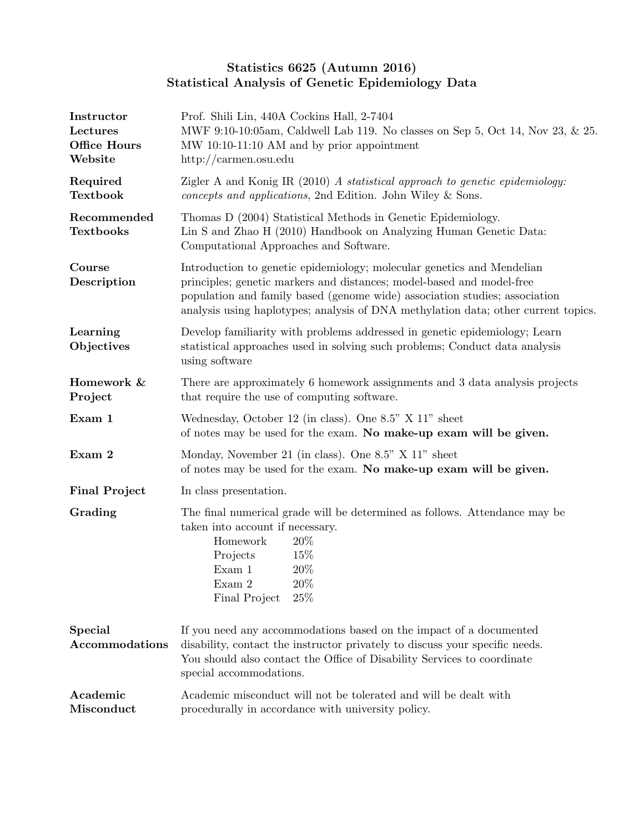## Statistics 6625 (Autumn 2016) Statistical Analysis of Genetic Epidemiology Data

| Instructor<br>Lectures<br>Office Hours<br>Website | Prof. Shili Lin, 440A Cockins Hall, 2-7404<br>MWF 9:10-10:05am, Caldwell Lab 119. No classes on Sep 5, Oct 14, Nov 23, & 25.<br>MW 10:10-11:10 AM and by prior appointment<br>$\frac{http://carmen.osu.edu}{$                                                                                                       |  |  |
|---------------------------------------------------|---------------------------------------------------------------------------------------------------------------------------------------------------------------------------------------------------------------------------------------------------------------------------------------------------------------------|--|--|
| Required<br><b>Textbook</b>                       | Zigler A and Konig IR (2010) A statistical approach to genetic epidemiology:<br>concepts and applications, 2nd Edition. John Wiley & Sons.                                                                                                                                                                          |  |  |
| Recommended<br><b>Textbooks</b>                   | Thomas D (2004) Statistical Methods in Genetic Epidemiology.<br>Lin S and Zhao H (2010) Handbook on Analyzing Human Genetic Data:<br>Computational Approaches and Software.                                                                                                                                         |  |  |
| Course<br>Description                             | Introduction to genetic epidemiology; molecular genetics and Mendelian<br>principles; genetic markers and distances; model-based and model-free<br>population and family based (genome wide) association studies; association<br>analysis using haplotypes; analysis of DNA methylation data; other current topics. |  |  |
| Learning<br>Objectives                            | Develop familiarity with problems addressed in genetic epidemiology; Learn<br>statistical approaches used in solving such problems; Conduct data analysis<br>using software                                                                                                                                         |  |  |
| Homework &<br>Project                             | There are approximately 6 homework assignments and 3 data analysis projects<br>that require the use of computing software.                                                                                                                                                                                          |  |  |
| Exam 1                                            | Wednesday, October 12 (in class). One 8.5" X 11" sheet<br>of notes may be used for the exam. No make-up exam will be given.                                                                                                                                                                                         |  |  |
| Exam 2                                            | Monday, November 21 (in class). One 8.5" X 11" sheet<br>of notes may be used for the exam. No make-up exam will be given.                                                                                                                                                                                           |  |  |
| <b>Final Project</b>                              | In class presentation.                                                                                                                                                                                                                                                                                              |  |  |
| Grading                                           | The final numerical grade will be determined as follows. Attendance may be<br>taken into account if necessary.<br>Homework<br>20\%<br>15%<br>Projects<br>$20\%$<br>Exam 1<br>Exam 2<br>20%<br>25%<br>Final Project                                                                                                  |  |  |
| <b>Special</b><br>Accommodations                  | If you need any accommodations based on the impact of a documented<br>disability, contact the instructor privately to discuss your specific needs.<br>You should also contact the Office of Disability Services to coordinate<br>special accommodations.                                                            |  |  |
| Academic<br>Misconduct                            | Academic misconduct will not be tolerated and will be dealt with<br>procedurally in accordance with university policy.                                                                                                                                                                                              |  |  |